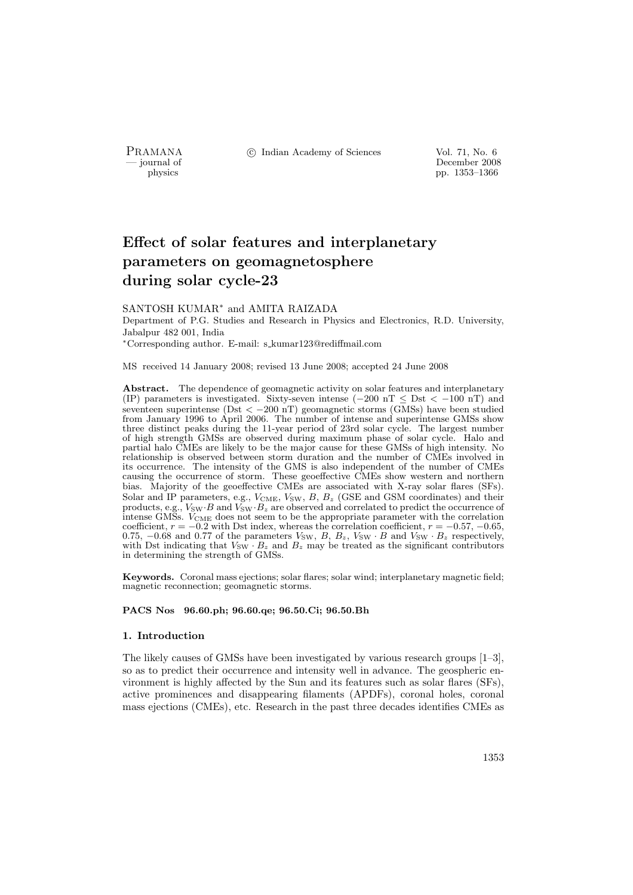PRAMANA <sup>C</sup> Indian Academy of Sciences Vol. 71, No. 6<br>
internal of December 2008

physics<br>
and the physics<br>  $\frac{1353-1366}{p}$ physics pp. 1353–1366

# Effect of solar features and interplanetary parameters on geomagnetosphere during solar cycle-23

# SANTOSH KUMAR<sup>∗</sup> and AMITA RAIZADA

Department of P.G. Studies and Research in Physics and Electronics, R.D. University, Jabalpur 482 001, India

<sup>∗</sup>Corresponding author. E-mail: s kumar123@rediffmail.com

MS received 14 January 2008; revised 13 June 2008; accepted 24 June 2008

Abstract. The dependence of geomagnetic activity on solar features and interplanetary (IP) parameters is investigated. Sixty-seven intense ( $-200$  nT  $\leq$  Dst  $<-100$  nT) and seventeen superintense (Dst  $\langle -200 \text{ nT} \rangle$  geomagnetic storms (GMSs) have been studied from January 1996 to April 2006. The number of intense and superintense GMSs show three distinct peaks during the 11-year period of 23rd solar cycle. The largest number of high strength GMSs are observed during maximum phase of solar cycle. Halo and partial halo CMEs are likely to be the major cause for these GMSs of high intensity. No relationship is observed between storm duration and the number of CMEs involved in its occurrence. The intensity of the GMS is also independent of the number of CMEs causing the occurrence of storm. These geoeffective CMEs show western and northern bias. Majority of the geoeffective CMEs are associated with X-ray solar flares (SFs). Solar and IP parameters, e.g.,  $V_{\text{CME}}$ ,  $V_{\text{SW}}$ ,  $B$ ,  $B_z$  (GSE and GSM coordinates) and their products, e.g.,  $V_{SW} \cdot B$  and  $V_{SW} \cdot B_z$  are observed and correlated to predict the occurrence of intense GMSs. VCME does not seem to be the appropriate parameter with the correlation coefficient,  $r = -0.2$  with Dst index, whereas the correlation coefficient,  $r = -0.57, -0.65$ , 0.75,  $-0.68$  and 0.77 of the parameters  $V_{SW}$ ,  $B$ ,  $B_z$ ,  $V_{SW} \cdot B$  and  $V_{SW} \cdot B_z$  respectively, with Dst indicating that  $V_{\text{SW}} \cdot B_z$  and  $B_z$  may be treated as the significant contributors in determining the strength of GMSs.

Keywords. Coronal mass ejections; solar flares; solar wind; interplanetary magnetic field; magnetic reconnection; geomagnetic storms.

# PACS Nos 96.60.ph; 96.60.qe; 96.50.Ci; 96.50.Bh

# 1. Introduction

The likely causes of GMSs have been investigated by various research groups [1–3], so as to predict their occurrence and intensity well in advance. The geospheric environment is highly affected by the Sun and its features such as solar flares (SFs), active prominences and disappearing filaments (APDFs), coronal holes, coronal mass ejections (CMEs), etc. Research in the past three decades identifies CMEs as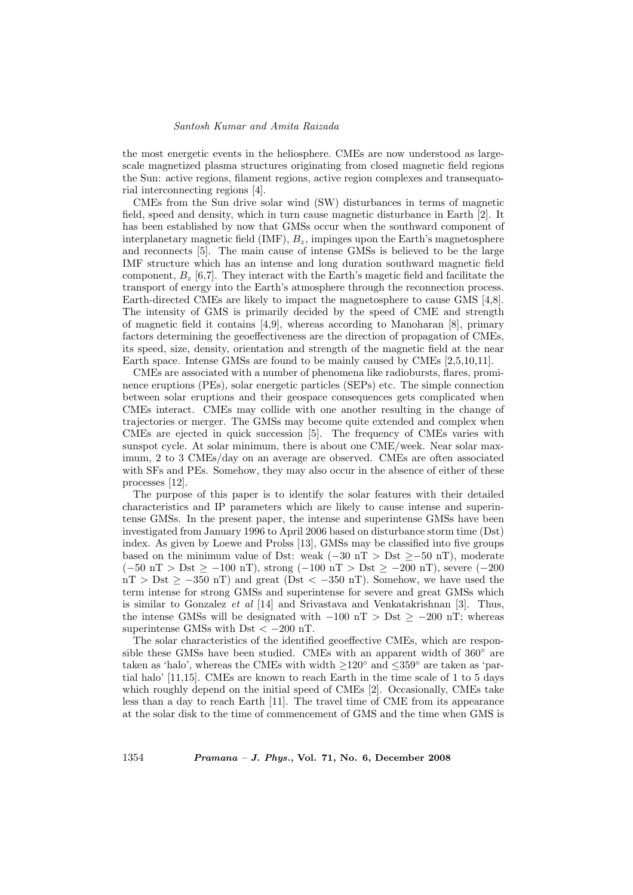the most energetic events in the heliosphere. CMEs are now understood as largescale magnetized plasma structures originating from closed magnetic field regions the Sun: active regions, filament regions, active region complexes and transequatorial interconnecting regions [4].

CMEs from the Sun drive solar wind (SW) disturbances in terms of magnetic field, speed and density, which in turn cause magnetic disturbance in Earth [2]. It has been established by now that GMSs occur when the southward component of interplanetary magnetic field  $(IMF)$ ,  $B_z$ , impinges upon the Earth's magnetosphere and reconnects [5]. The main cause of intense GMSs is believed to be the large IMF structure which has an intense and long duration southward magnetic field component,  $B_z$  [6,7]. They interact with the Earth's magetic field and facilitate the transport of energy into the Earth's atmosphere through the reconnection process. Earth-directed CMEs are likely to impact the magnetosphere to cause GMS [4,8]. The intensity of GMS is primarily decided by the speed of CME and strength of magnetic field it contains [4,9], whereas according to Manoharan  $[8]$ , primary factors determining the geoeffectiveness are the direction of propagation of CMEs, its speed, size, density, orientation and strength of the magnetic field at the near Earth space. Intense GMSs are found to be mainly caused by CMEs [2,5,10,11].

CMEs are associated with a number of phenomena like radiobursts, flares, prominence eruptions (PEs), solar energetic particles (SEPs) etc. The simple connection between solar eruptions and their geospace consequences gets complicated when CMEs interact. CMEs may collide with one another resulting in the change of trajectories or merger. The GMSs may become quite extended and complex when CMEs are ejected in quick succession [5]. The frequency of CMEs varies with sunspot cycle. At solar minimum, there is about one CME/week. Near solar maximum, 2 to 3 CMEs/day on an average are observed. CMEs are often associated with SFs and PEs. Somehow, they may also occur in the absence of either of these processes [12].

The purpose of this paper is to identify the solar features with their detailed characteristics and IP parameters which are likely to cause intense and superintense GMSs. In the present paper, the intense and superintense GMSs have been investigated from January 1996 to April 2006 based on disturbance storm time (Dst) index. As given by Loewe and Prolss [13], GMSs may be classified into five groups based on the minimum value of Dst: weak  $(-30 \text{ nT} > \text{Dst} \ge -50 \text{ nT})$ , moderate (−50 nT > Dst ≥ −100 nT), strong (−100 nT > Dst ≥ −200 nT), severe (−200  $nT > Dst \ge -350 nT$  and great (Dst < -350 nT). Somehow, we have used the term intense for strong GMSs and superintense for severe and great GMSs which is similar to Gonzalez et al [14] and Srivastava and Venkatakrishnan [3]. Thus, the intense GMSs will be designated with  $-100$  nT > Dst  $\geq -200$  nT; whereas superintense GMSs with Dst  $<-200$  nT.

The solar characteristics of the identified geoeffective CMEs, which are responsible these GMSs have been studied. CMEs with an apparent width of  $360°$  are taken as 'halo', whereas the CMEs with width ≥120◦ and ≤359◦ are taken as 'partial halo' [11,15]. CMEs are known to reach Earth in the time scale of 1 to 5 days which roughly depend on the initial speed of CMEs [2]. Occasionally, CMEs take less than a day to reach Earth [11]. The travel time of CME from its appearance at the solar disk to the time of commencement of GMS and the time when GMS is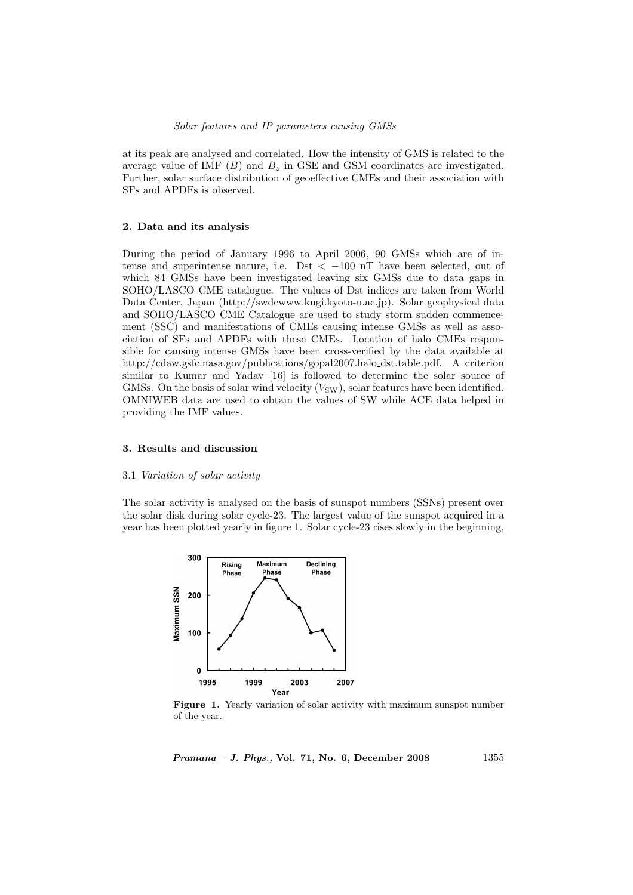at its peak are analysed and correlated. How the intensity of GMS is related to the average value of IMF  $(B)$  and  $B_z$  in GSE and GSM coordinates are investigated. Further, solar surface distribution of geoeffective CMEs and their association with SFs and APDFs is observed.

# 2. Data and its analysis

During the period of January 1996 to April 2006, 90 GMSs which are of intense and superintense nature, i.e. Dst  $\lt$  -100 nT have been selected, out of which 84 GMSs have been investigated leaving six GMSs due to data gaps in SOHO/LASCO CME catalogue. The values of Dst indices are taken from World Data Center, Japan (http://swdcwww.kugi.kyoto-u.ac.jp). Solar geophysical data and SOHO/LASCO CME Catalogue are used to study storm sudden commencement (SSC) and manifestations of CMEs causing intense GMSs as well as association of SFs and APDFs with these CMEs. Location of halo CMEs responsible for causing intense GMSs have been cross-verified by the data available at http://cdaw.gsfc.nasa.gov/publications/gopal2007.halo dst.table.pdf. A criterion similar to Kumar and Yadav [16] is followed to determine the solar source of GMSs. On the basis of solar wind velocity  $(V_{SW})$ , solar features have been identified. OMNIWEB data are used to obtain the values of SW while ACE data helped in providing the IMF values.

# 3. Results and discussion

#### 3.1 Variation of solar activity

The solar activity is analysed on the basis of sunspot numbers (SSNs) present over the solar disk during solar cycle-23. The largest value of the sunspot acquired in a year has been plotted yearly in figure 1. Solar cycle-23 rises slowly in the beginning,



Figure 1. Yearly variation of solar activity with maximum sunspot number of the year.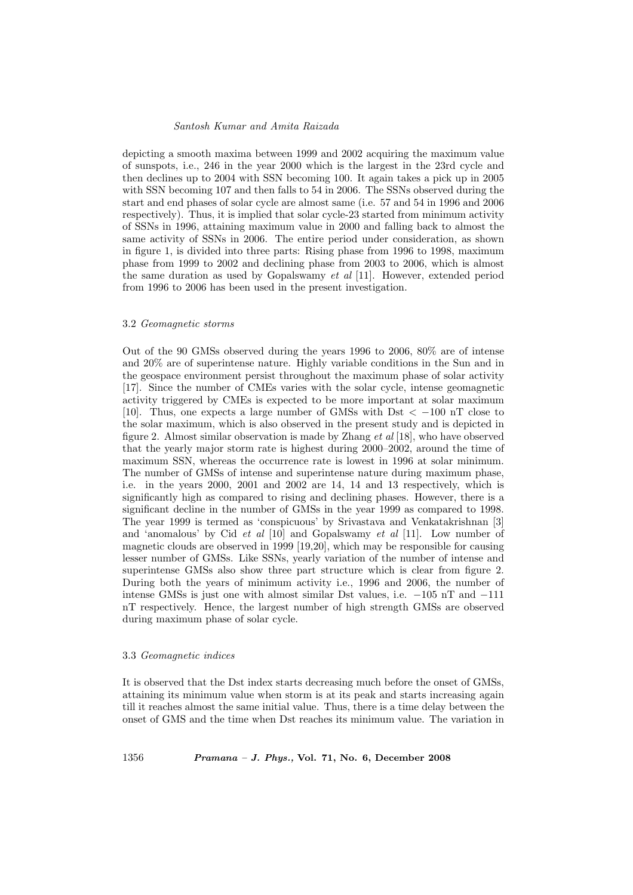depicting a smooth maxima between 1999 and 2002 acquiring the maximum value of sunspots, i.e., 246 in the year 2000 which is the largest in the 23rd cycle and then declines up to 2004 with SSN becoming 100. It again takes a pick up in 2005 with SSN becoming 107 and then falls to 54 in 2006. The SSNs observed during the start and end phases of solar cycle are almost same (i.e. 57 and 54 in 1996 and 2006 respectively). Thus, it is implied that solar cycle-23 started from minimum activity of SSNs in 1996, attaining maximum value in 2000 and falling back to almost the same activity of SSNs in 2006. The entire period under consideration, as shown in figure 1, is divided into three parts: Rising phase from 1996 to 1998, maximum phase from 1999 to 2002 and declining phase from 2003 to 2006, which is almost the same duration as used by Gopalswamy et al [11]. However, extended period from 1996 to 2006 has been used in the present investigation.

#### 3.2 Geomagnetic storms

Out of the 90 GMSs observed during the years 1996 to 2006, 80% are of intense and 20% are of superintense nature. Highly variable conditions in the Sun and in the geospace environment persist throughout the maximum phase of solar activity [17]. Since the number of CMEs varies with the solar cycle, intense geomagnetic activity triggered by CMEs is expected to be more important at solar maximum [10]. Thus, one expects a large number of GMSs with Dst  $\lt$  -100 nT close to the solar maximum, which is also observed in the present study and is depicted in figure 2. Almost similar observation is made by Zhang et al [18], who have observed that the yearly major storm rate is highest during 2000–2002, around the time of maximum SSN, whereas the occurrence rate is lowest in 1996 at solar minimum. The number of GMSs of intense and superintense nature during maximum phase, i.e. in the years 2000, 2001 and 2002 are 14, 14 and 13 respectively, which is significantly high as compared to rising and declining phases. However, there is a significant decline in the number of GMSs in the year 1999 as compared to 1998. The year 1999 is termed as 'conspicuous' by Srivastava and Venkatakrishnan [3] and 'anomalous' by Cid et al [10] and Gopalswamy et al [11]. Low number of magnetic clouds are observed in 1999 [19,20], which may be responsible for causing lesser number of GMSs. Like SSNs, yearly variation of the number of intense and superintense GMSs also show three part structure which is clear from figure 2. During both the years of minimum activity i.e., 1996 and 2006, the number of intense GMSs is just one with almost similar Dst values, i.e. −105 nT and −111 nT respectively. Hence, the largest number of high strength GMSs are observed during maximum phase of solar cycle.

# 3.3 Geomagnetic indices

It is observed that the Dst index starts decreasing much before the onset of GMSs, attaining its minimum value when storm is at its peak and starts increasing again till it reaches almost the same initial value. Thus, there is a time delay between the onset of GMS and the time when Dst reaches its minimum value. The variation in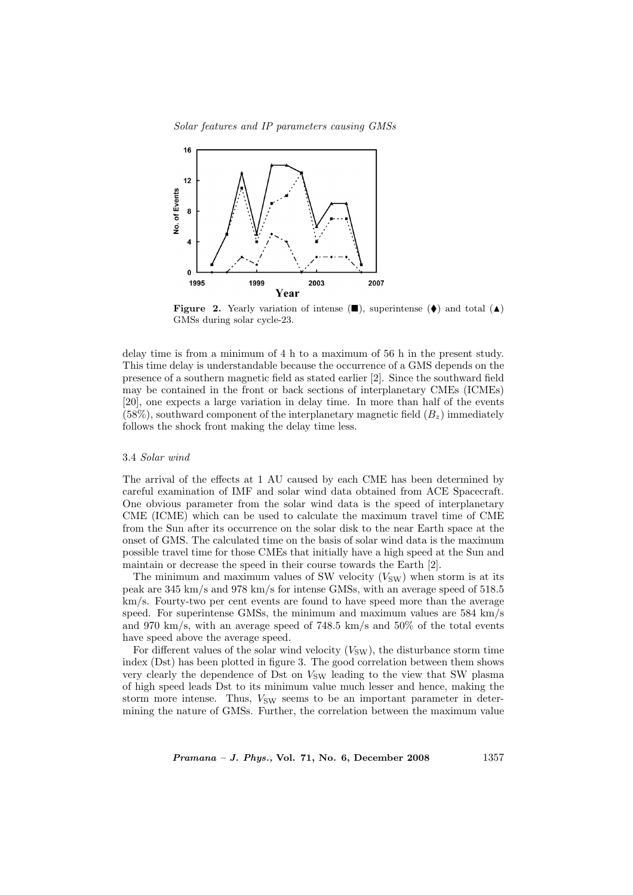Solar features and IP parameters causing GMSs



Figure 2. Yearly variation of intense  $(\blacksquare)$ , superintense  $(\blacklozenge)$  and total  $(\blacktriangle)$ GMSs during solar cycle-23.

delay time is from a minimum of 4 h to a maximum of 56 h in the present study. This time delay is understandable because the occurrence of a GMS depends on the presence of a southern magnetic field as stated earlier [2]. Since the southward field may be contained in the front or back sections of interplanetary CMEs (ICMEs) [20], one expects a large variation in delay time. In more than half of the events  $(58\%)$ , southward component of the interplanetary magnetic field  $(B<sub>z</sub>)$  immediately follows the shock front making the delay time less.

# 3.4 Solar wind

The arrival of the effects at 1 AU caused by each CME has been determined by careful examination of IMF and solar wind data obtained from ACE Spacecraft. One obvious parameter from the solar wind data is the speed of interplanetary CME (ICME) which can be used to calculate the maximum travel time of CME from the Sun after its occurrence on the solar disk to the near Earth space at the onset of GMS. The calculated time on the basis of solar wind data is the maximum possible travel time for those CMEs that initially have a high speed at the Sun and maintain or decrease the speed in their course towards the Earth [2].

The minimum and maximum values of SW velocity  $(V_{SW})$  when storm is at its peak are 345 km/s and 978 km/s for intense GMSs, with an average speed of 518.5 km/s. Fourty-two per cent events are found to have speed more than the average speed. For superintense GMSs, the minimum and maximum values are 584 km/s and 970 km/s, with an average speed of 748.5 km/s and 50% of the total events have speed above the average speed.

For different values of the solar wind velocity  $(V_{SW})$ , the disturbance storm time index (Dst) has been plotted in figure 3. The good correlation between them shows very clearly the dependence of Dst on  $V_{SW}$  leading to the view that SW plasma of high speed leads Dst to its minimum value much lesser and hence, making the storm more intense. Thus,  $V_{SW}$  seems to be an important parameter in determining the nature of GMSs. Further, the correlation between the maximum value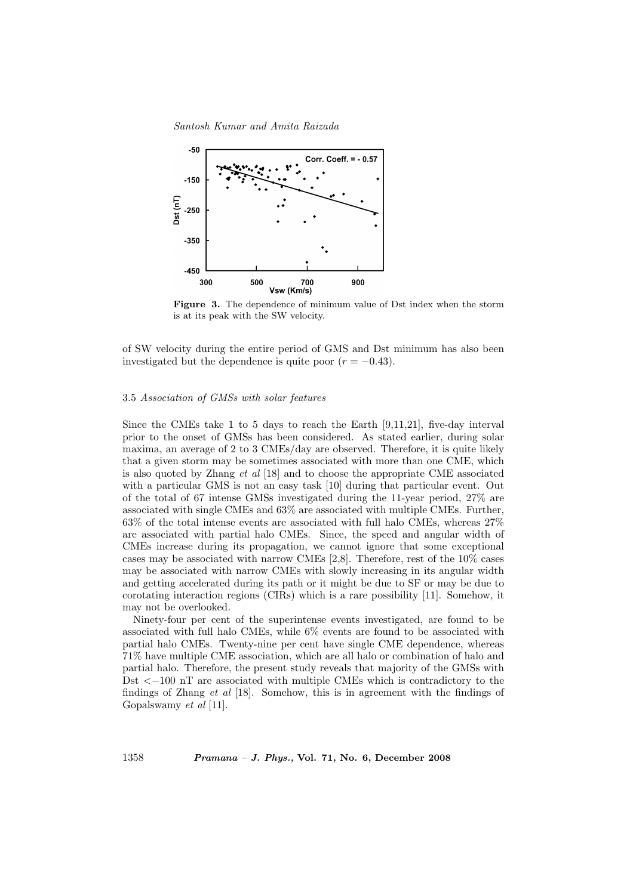

Figure 3. The dependence of minimum value of Dst index when the storm is at its peak with the SW velocity.

of SW velocity during the entire period of GMS and Dst minimum has also been investigated but the dependence is quite poor  $(r = -0.43)$ .

# 3.5 Association of GMSs with solar features

Since the CMEs take 1 to 5 days to reach the Earth [9,11,21], five-day interval prior to the onset of GMSs has been considered. As stated earlier, during solar maxima, an average of 2 to 3 CMEs/day are observed. Therefore, it is quite likely that a given storm may be sometimes associated with more than one CME, which is also quoted by Zhang et al [18] and to choose the appropriate CME associated with a particular GMS is not an easy task [10] during that particular event. Out of the total of 67 intense GMSs investigated during the 11-year period, 27% are associated with single CMEs and 63% are associated with multiple CMEs. Further, 63% of the total intense events are associated with full halo CMEs, whereas 27% are associated with partial halo CMEs. Since, the speed and angular width of CMEs increase during its propagation, we cannot ignore that some exceptional cases may be associated with narrow CMEs [2,8]. Therefore, rest of the 10% cases may be associated with narrow CMEs with slowly increasing in its angular width and getting accelerated during its path or it might be due to SF or may be due to corotating interaction regions (CIRs) which is a rare possibility [11]. Somehow, it may not be overlooked.

Ninety-four per cent of the superintense events investigated, are found to be associated with full halo CMEs, while 6% events are found to be associated with partial halo CMEs. Twenty-nine per cent have single CME dependence, whereas 71% have multiple CME association, which are all halo or combination of halo and partial halo. Therefore, the present study reveals that majority of the GMSs with Dst <−100 nT are associated with multiple CMEs which is contradictory to the findings of Zhang et al [18]. Somehow, this is in agreement with the findings of Gopalswamy et al [11].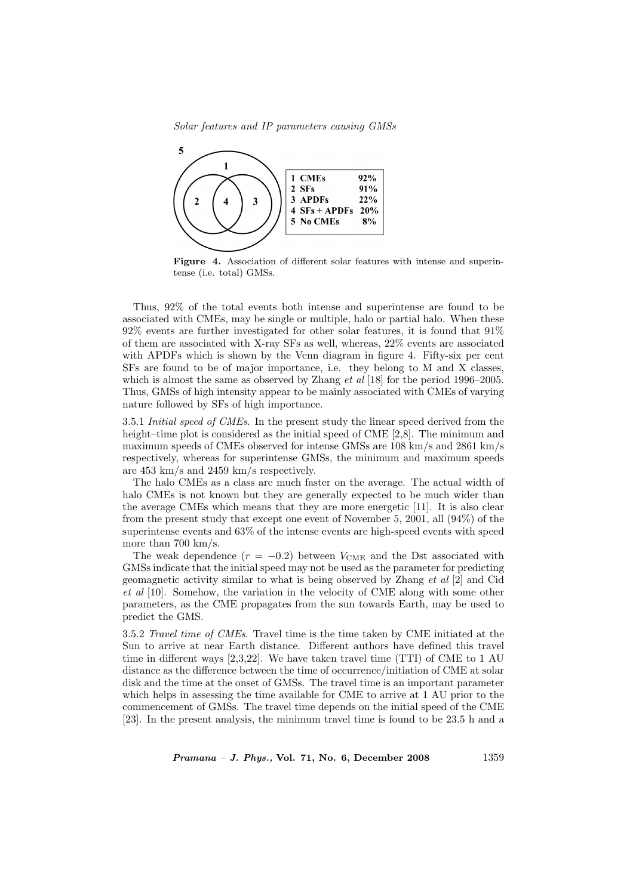Solar features and IP parameters causing GMSs



Figure 4. Association of different solar features with intense and superintense (i.e. total) GMSs.

Thus, 92% of the total events both intense and superintense are found to be associated with CMEs, may be single or multiple, halo or partial halo. When these 92% events are further investigated for other solar features, it is found that 91% of them are associated with X-ray SFs as well, whereas, 22% events are associated with APDFs which is shown by the Venn diagram in figure 4. Fifty-six per cent SFs are found to be of major importance, i.e. they belong to M and X classes, which is almost the same as observed by Zhang et al [18] for the period 1996–2005. Thus, GMSs of high intensity appear to be mainly associated with CMEs of varying nature followed by SFs of high importance.

3.5.1 Initial speed of CMEs. In the present study the linear speed derived from the height–time plot is considered as the initial speed of CME [2,8]. The minimum and maximum speeds of CMEs observed for intense GMSs are 108 km/s and 2861 km/s respectively, whereas for superintense GMSs, the minimum and maximum speeds are 453 km/s and 2459 km/s respectively.

The halo CMEs as a class are much faster on the average. The actual width of halo CMEs is not known but they are generally expected to be much wider than the average CMEs which means that they are more energetic [11]. It is also clear from the present study that except one event of November 5, 2001, all (94%) of the superintense events and 63% of the intense events are high-speed events with speed more than 700 km/s.

The weak dependence  $(r = -0.2)$  between  $V_{\text{CME}}$  and the Dst associated with GMSs indicate that the initial speed may not be used as the parameter for predicting geomagnetic activity similar to what is being observed by Zhang et al [2] and Cid et al [10]. Somehow, the variation in the velocity of CME along with some other parameters, as the CME propagates from the sun towards Earth, may be used to predict the GMS.

3.5.2 Travel time of CMEs. Travel time is the time taken by CME initiated at the Sun to arrive at near Earth distance. Different authors have defined this travel time in different ways [2,3,22]. We have taken travel time (TTI) of CME to 1 AU distance as the difference between the time of occurrence/initiation of CME at solar disk and the time at the onset of GMSs. The travel time is an important parameter which helps in assessing the time available for CME to arrive at 1 AU prior to the commencement of GMSs. The travel time depends on the initial speed of the CME [23]. In the present analysis, the minimum travel time is found to be 23.5 h and a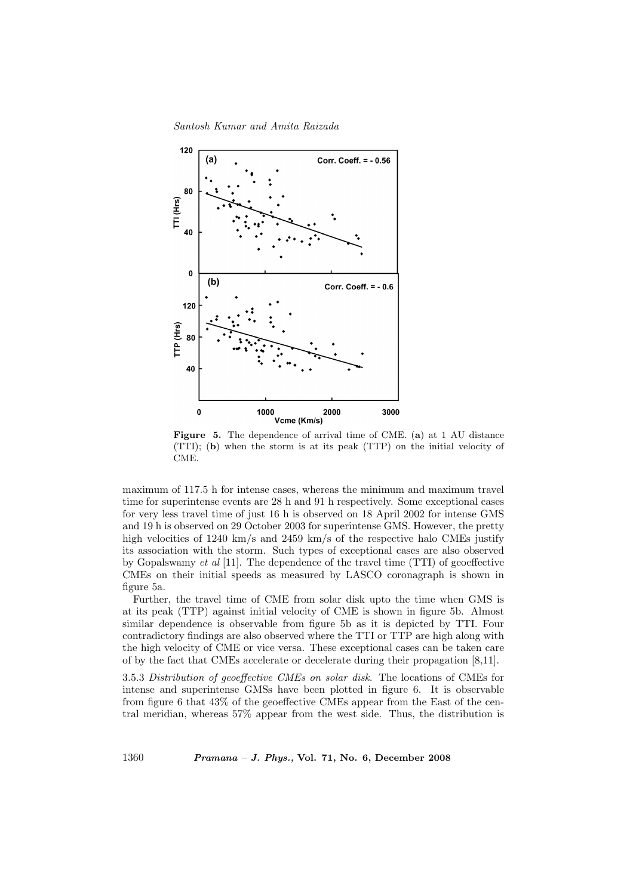Santosh Kumar and Amita Raizada



Figure 5. The dependence of arrival time of CME. (a) at 1 AU distance (TTI); (b) when the storm is at its peak (TTP) on the initial velocity of CME.

maximum of 117.5 h for intense cases, whereas the minimum and maximum travel time for superintense events are 28 h and 91 h respectively. Some exceptional cases for very less travel time of just 16 h is observed on 18 April 2002 for intense GMS and 19 h is observed on 29 October 2003 for superintense GMS. However, the pretty high velocities of 1240 km/s and 2459 km/s of the respective halo CMEs justify its association with the storm. Such types of exceptional cases are also observed by Gopalswamy et al [11]. The dependence of the travel time (TTI) of geoeffective CMEs on their initial speeds as measured by LASCO coronagraph is shown in figure 5a.

Further, the travel time of CME from solar disk upto the time when GMS is at its peak (TTP) against initial velocity of CME is shown in figure 5b. Almost similar dependence is observable from figure 5b as it is depicted by TTI. Four contradictory findings are also observed where the TTI or TTP are high along with the high velocity of CME or vice versa. These exceptional cases can be taken care of by the fact that CMEs accelerate or decelerate during their propagation [8,11].

3.5.3 Distribution of geoeffective CMEs on solar disk. The locations of CMEs for intense and superintense GMSs have been plotted in figure 6. It is observable from figure 6 that 43% of the geoeffective CMEs appear from the East of the central meridian, whereas 57% appear from the west side. Thus, the distribution is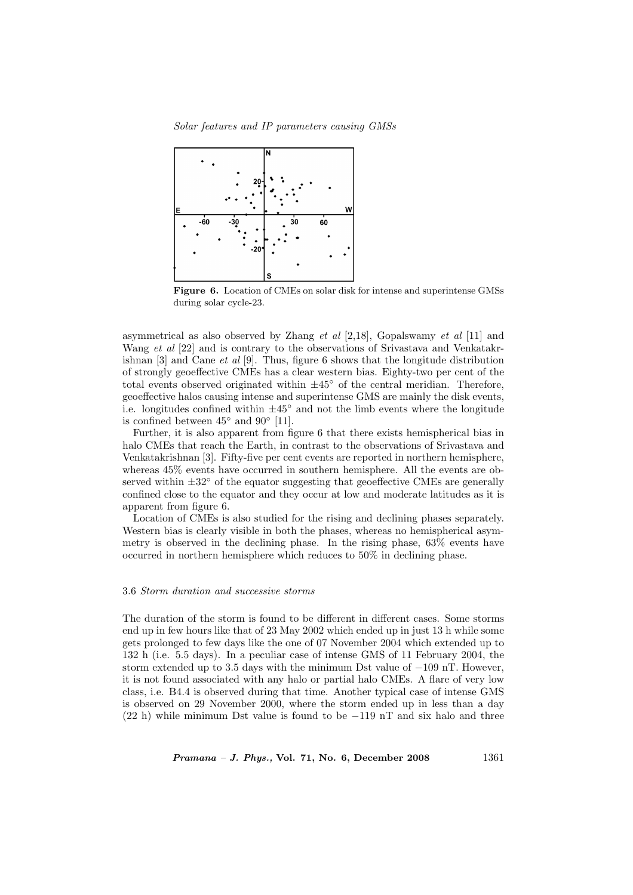Solar features and IP parameters causing GMSs



Figure 6. Location of CMEs on solar disk for intense and superintense GMSs during solar cycle-23.

asymmetrical as also observed by Zhang *et al*  $[2,18]$ , Gopalswamy *et al*  $[11]$  and Wang et al [22] and is contrary to the observations of Srivastava and Venkatakrishnan  $[3]$  and Cane *et al*  $[9]$ . Thus, figure 6 shows that the longitude distribution of strongly geoeffective CMEs has a clear western bias. Eighty-two per cent of the total events observed originated within  $\pm 45^{\circ}$  of the central meridian. Therefore, geoeffective halos causing intense and superintense GMS are mainly the disk events, i.e. longitudes confined within  $\pm 45^\circ$  and not the limb events where the longitude is confined between  $45^{\circ}$  and  $90^{\circ}$  [11].

Further, it is also apparent from figure 6 that there exists hemispherical bias in halo CMEs that reach the Earth, in contrast to the observations of Srivastava and Venkatakrishnan [3]. Fifty-five per cent events are reported in northern hemisphere, whereas 45% events have occurred in southern hemisphere. All the events are observed within  $\pm 32^{\circ}$  of the equator suggesting that geoeffective CMEs are generally confined close to the equator and they occur at low and moderate latitudes as it is apparent from figure 6.

Location of CMEs is also studied for the rising and declining phases separately. Western bias is clearly visible in both the phases, whereas no hemispherical asymmetry is observed in the declining phase. In the rising phase, 63% events have occurred in northern hemisphere which reduces to 50% in declining phase.

# 3.6 Storm duration and successive storms

The duration of the storm is found to be different in different cases. Some storms end up in few hours like that of 23 May 2002 which ended up in just 13 h while some gets prolonged to few days like the one of 07 November 2004 which extended up to 132 h (i.e. 5.5 days). In a peculiar case of intense GMS of 11 February 2004, the storm extended up to 3.5 days with the minimum Dst value of  $-109$  nT. However, it is not found associated with any halo or partial halo CMEs. A flare of very low class, i.e. B4.4 is observed during that time. Another typical case of intense GMS is observed on 29 November 2000, where the storm ended up in less than a day (22 h) while minimum Dst value is found to be −119 nT and six halo and three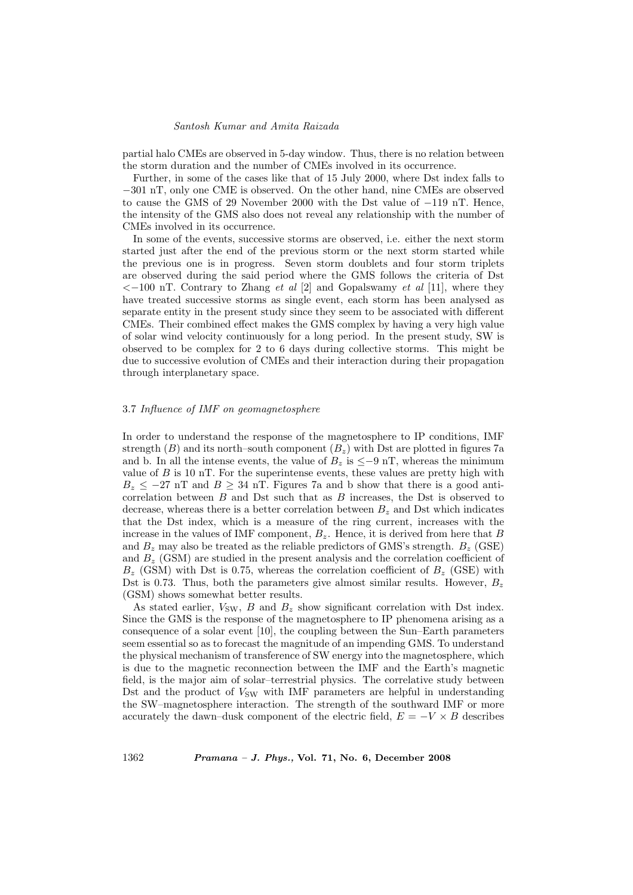partial halo CMEs are observed in 5-day window. Thus, there is no relation between the storm duration and the number of CMEs involved in its occurrence.

Further, in some of the cases like that of 15 July 2000, where Dst index falls to −301 nT, only one CME is observed. On the other hand, nine CMEs are observed to cause the GMS of 29 November 2000 with the Dst value of −119 nT. Hence, the intensity of the GMS also does not reveal any relationship with the number of CMEs involved in its occurrence.

In some of the events, successive storms are observed, i.e. either the next storm started just after the end of the previous storm or the next storm started while the previous one is in progress. Seven storm doublets and four storm triplets are observed during the said period where the GMS follows the criteria of Dst  $<-100$  nT. Contrary to Zhang *et al* [2] and Gopalswamy *et al* [11], where they have treated successive storms as single event, each storm has been analysed as separate entity in the present study since they seem to be associated with different CMEs. Their combined effect makes the GMS complex by having a very high value of solar wind velocity continuously for a long period. In the present study, SW is observed to be complex for 2 to 6 days during collective storms. This might be due to successive evolution of CMEs and their interaction during their propagation through interplanetary space.

# 3.7 Influence of IMF on geomagnetosphere

In order to understand the response of the magnetosphere to IP conditions, IMF strength (B) and its north–south component  $(B_z)$  with Dst are plotted in figures 7a and b. In all the intense events, the value of  $B_z$  is  $\leq -9$  nT, whereas the minimum value of  $B$  is 10 nT. For the superintense events, these values are pretty high with  $B_z \leq -27$  nT and  $B \geq 34$  nT. Figures 7a and b show that there is a good anticorrelation between  $B$  and Dst such that as  $B$  increases, the Dst is observed to decrease, whereas there is a better correlation between  $B<sub>z</sub>$  and Dst which indicates that the Dst index, which is a measure of the ring current, increases with the increase in the values of IMF component,  $B_z$ . Hence, it is derived from here that B and  $B_z$  may also be treated as the reliable predictors of GMS's strength.  $B_z$  (GSE) and  $B_z$  (GSM) are studied in the present analysis and the correlation coefficient of  $B_z$  (GSM) with Dst is 0.75, whereas the correlation coefficient of  $B_z$  (GSE) with Dst is 0.73. Thus, both the parameters give almost similar results. However,  $B_z$ (GSM) shows somewhat better results.

As stated earlier,  $V_{SW}$ , B and  $B_z$  show significant correlation with Dst index. Since the GMS is the response of the magnetosphere to IP phenomena arising as a consequence of a solar event [10], the coupling between the Sun–Earth parameters seem essential so as to forecast the magnitude of an impending GMS. To understand the physical mechanism of transference of SW energy into the magnetosphere, which is due to the magnetic reconnection between the IMF and the Earth's magnetic field, is the major aim of solar–terrestrial physics. The correlative study between Dst and the product of  $V_{SW}$  with IMF parameters are helpful in understanding the SW–magnetosphere interaction. The strength of the southward IMF or more accurately the dawn–dusk component of the electric field,  $E = -V \times B$  describes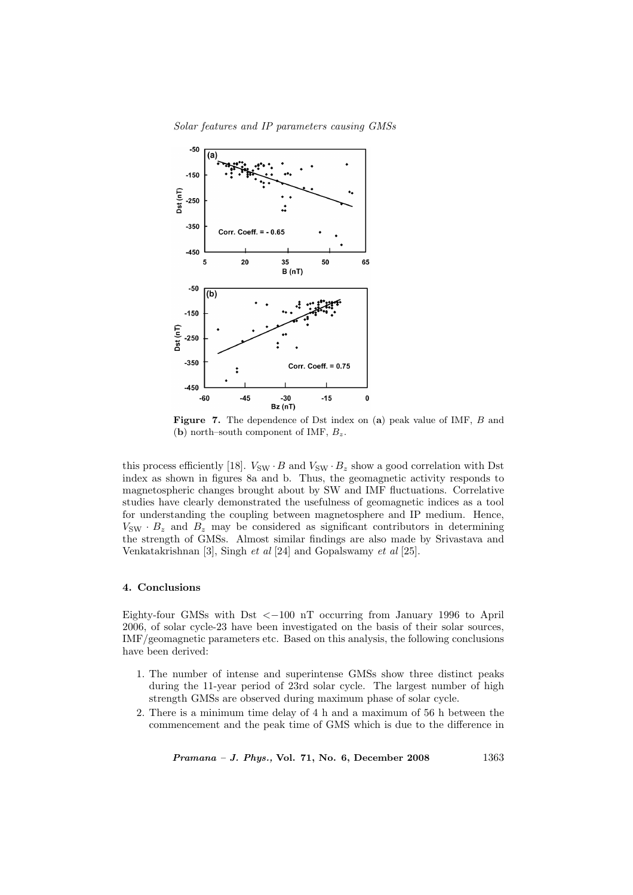



Figure 7. The dependence of Dst index on (a) peak value of IMF, B and (b) north–south component of IMF,  $B_z$ .

this process efficiently [18].  $V_{SW} \cdot B$  and  $V_{SW} \cdot B_z$  show a good correlation with Dst index as shown in figures 8a and b. Thus, the geomagnetic activity responds to magnetospheric changes brought about by SW and IMF fluctuations. Correlative studies have clearly demonstrated the usefulness of geomagnetic indices as a tool for understanding the coupling between magnetosphere and IP medium. Hence,  $V_{\text{SW}} \cdot B_z$  and  $B_z$  may be considered as significant contributors in determining the strength of GMSs. Almost similar findings are also made by Srivastava and Venkatakrishnan [3], Singh et al [24] and Gopalswamy et al [25].

# 4. Conclusions

Eighty-four GMSs with Dst  $\lt -100$  nT occurring from January 1996 to April 2006, of solar cycle-23 have been investigated on the basis of their solar sources, IMF/geomagnetic parameters etc. Based on this analysis, the following conclusions have been derived:

- 1. The number of intense and superintense GMSs show three distinct peaks during the 11-year period of 23rd solar cycle. The largest number of high strength GMSs are observed during maximum phase of solar cycle.
- 2. There is a minimum time delay of 4 h and a maximum of 56 h between the commencement and the peak time of GMS which is due to the difference in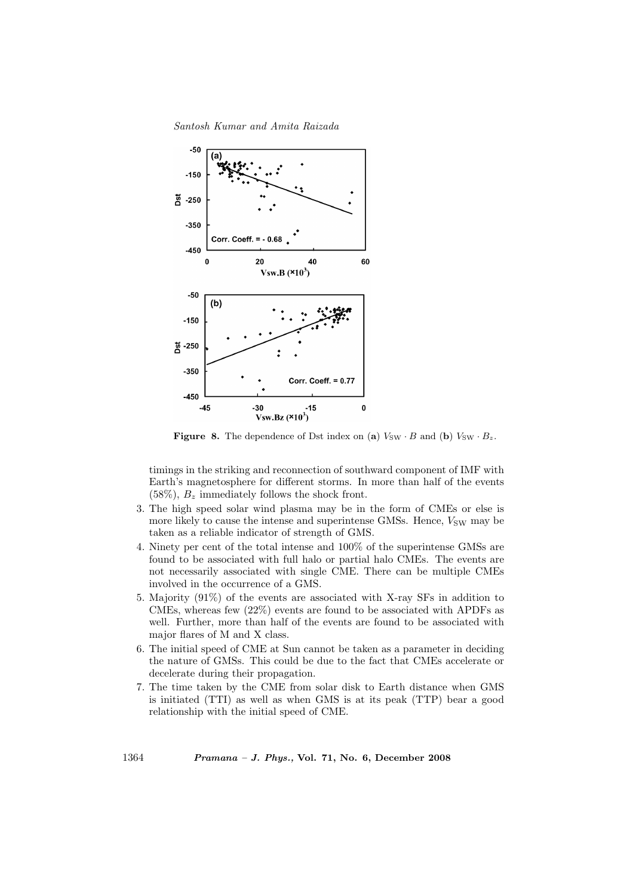Santosh Kumar and Amita Raizada



**Figure 8.** The dependence of Dst index on (a)  $V_{SW} \cdot B$  and (b)  $V_{SW} \cdot B_z$ .

timings in the striking and reconnection of southward component of IMF with Earth's magnetosphere for different storms. In more than half of the events  $(58\%), B_z$  immediately follows the shock front.

- 3. The high speed solar wind plasma may be in the form of CMEs or else is more likely to cause the intense and superintense GMSs. Hence,  $V_{SW}$  may be taken as a reliable indicator of strength of GMS.
- 4. Ninety per cent of the total intense and 100% of the superintense GMSs are found to be associated with full halo or partial halo CMEs. The events are not necessarily associated with single CME. There can be multiple CMEs involved in the occurrence of a GMS.
- 5. Majority (91%) of the events are associated with X-ray SFs in addition to CMEs, whereas few (22%) events are found to be associated with APDFs as well. Further, more than half of the events are found to be associated with major flares of M and X class.
- 6. The initial speed of CME at Sun cannot be taken as a parameter in deciding the nature of GMSs. This could be due to the fact that CMEs accelerate or decelerate during their propagation.
- 7. The time taken by the CME from solar disk to Earth distance when GMS is initiated (TTI) as well as when GMS is at its peak (TTP) bear a good relationship with the initial speed of CME.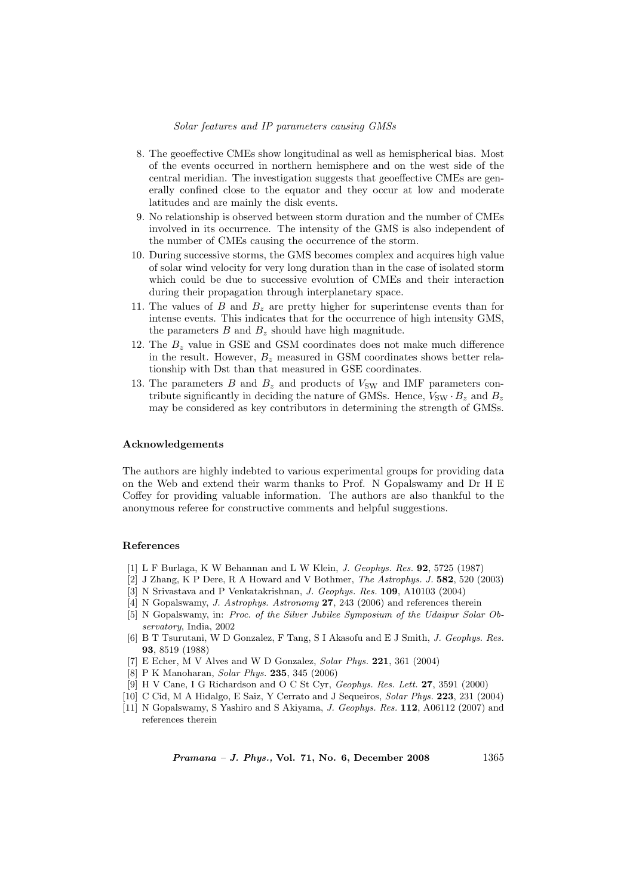# Solar features and IP parameters causing GMSs

- 8. The geoeffective CMEs show longitudinal as well as hemispherical bias. Most of the events occurred in northern hemisphere and on the west side of the central meridian. The investigation suggests that geoeffective CMEs are generally confined close to the equator and they occur at low and moderate latitudes and are mainly the disk events.
- 9. No relationship is observed between storm duration and the number of CMEs involved in its occurrence. The intensity of the GMS is also independent of the number of CMEs causing the occurrence of the storm.
- 10. During successive storms, the GMS becomes complex and acquires high value of solar wind velocity for very long duration than in the case of isolated storm which could be due to successive evolution of CMEs and their interaction during their propagation through interplanetary space.
- 11. The values of B and  $B<sub>z</sub>$  are pretty higher for superintense events than for intense events. This indicates that for the occurrence of high intensity GMS, the parameters  $B$  and  $B<sub>z</sub>$  should have high magnitude.
- 12. The  $B<sub>z</sub>$  value in GSE and GSM coordinates does not make much difference in the result. However,  $B_z$  measured in GSM coordinates shows better relationship with Dst than that measured in GSE coordinates.
- 13. The parameters B and  $B_z$  and products of  $V_{SW}$  and IMF parameters contribute significantly in deciding the nature of GMSs. Hence,  $V_{SW} \cdot B_z$  and  $B_z$ may be considered as key contributors in determining the strength of GMSs.

#### Acknowledgements

The authors are highly indebted to various experimental groups for providing data on the Web and extend their warm thanks to Prof. N Gopalswamy and Dr H E Coffey for providing valuable information. The authors are also thankful to the anonymous referee for constructive comments and helpful suggestions.

# References

- [1] L F Burlaga, K W Behannan and L W Klein, J. Geophys. Res. 92, 5725 (1987)
- [2] J Zhang, K P Dere, R A Howard and V Bothmer, The Astrophys. J. 582, 520 (2003)
- [3] N Srivastava and P Venkatakrishnan, J. Geophys. Res. 109, A10103 (2004)
- [4] N Gopalswamy, *J. Astrophys. Astronomy* 27, 243 (2006) and references therein
- [5] N Gopalswamy, in: Proc. of the Silver Jubilee Symposium of the Udaipur Solar Observatory, India, 2002
- [6] B T Tsurutani, W D Gonzalez, F Tang, S I Akasofu and E J Smith, J. Geophys. Res. 93, 8519 (1988)
- [7] E Echer, M V Alves and W D Gonzalez, Solar Phys. 221, 361 (2004)
- [8] P K Manoharan, Solar Phys. 235, 345 (2006)
- [9] H V Cane, I G Richardson and O C St Cyr, Geophys. Res. Lett. 27, 3591 (2000)
- [10] C Cid, M A Hidalgo, E Saiz, Y Cerrato and J Sequeiros, Solar Phys. 223, 231 (2004)
- [11] N Gopalswamy, S Yashiro and S Akiyama, J. Geophys. Res. 112, A06112 (2007) and references therein